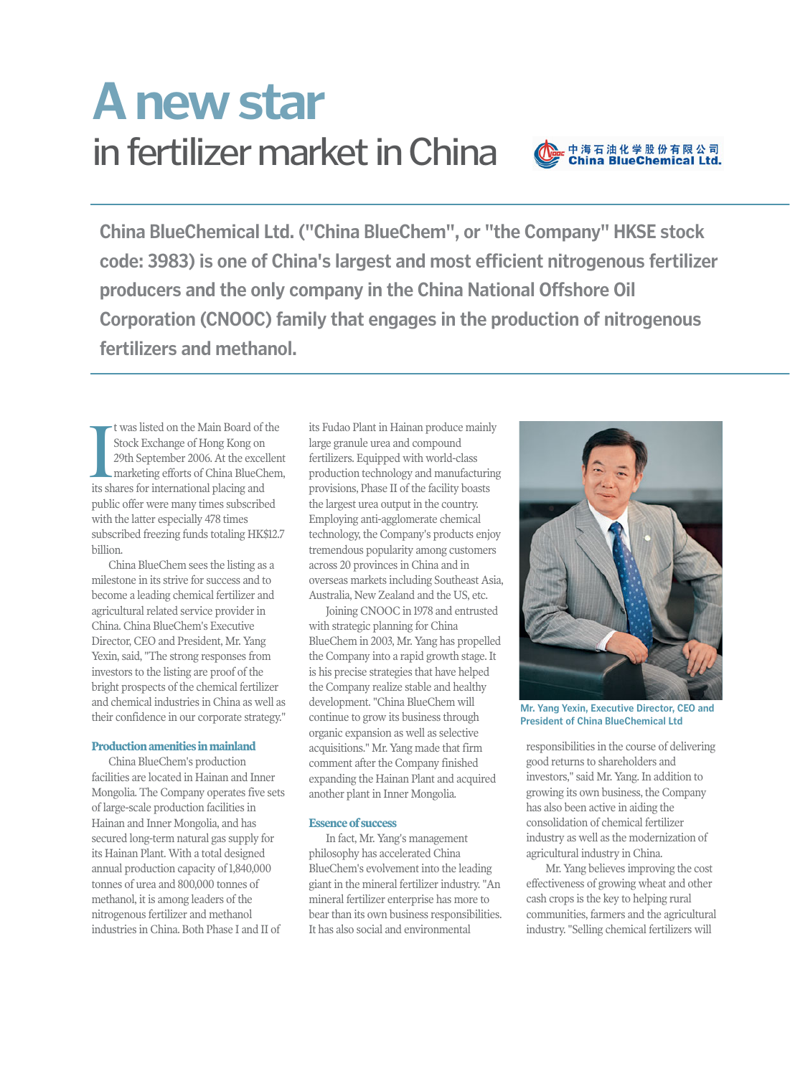## in fertilizer market in China **A new star**



**China BlueChemical Ltd. ("China BlueChem", or "the Company" HKSE stock code: 3983) is one of China's largest and most efficient nitrogenous fertilizer producers and the only company in the China National Offshore Oil Corporation (CNOOC) family that engages in the production of nitrogenous fertilizers and methanol.** 

t was listed on the Main Board of the Stock Exchange of Hong Kong on 29th September 2006. At the excellent marketing efforts of China BlueChem, I was listed on the Main Board of<br>Stock Exchange of Hong Kong on<br>29th September 2006. At the exce<br>marketing efforts of China BlueCl<br>its shares for international placing and public offer were many times subscribed with the latter especially 478 times subscribed freezing funds totaling HK\$12.7 billion.

China BlueChem sees the listing as a milestone in its strive for success and to become a leading chemical fertilizer and agricultural related service provider in China. China BlueChem's Executive Director, CEO and President, Mr. Yang Yexin, said, "The strong responses from investors to the listing are proof of the bright prospects of the chemical fertilizer and chemical industries in China as well as their confidence in our corporate strategy."

## **Production amenities in mainland**

China BlueChem's production facilities are located in Hainan and Inner Mongolia. The Company operates five sets of large-scale production facilities in Hainan and Inner Mongolia, and has secured long-term natural gas supply for its Hainan Plant. With a total designed annual production capacity of 1,840,000 tonnes of urea and 800,000 tonnes of methanol, it is among leaders of the nitrogenous fertilizer and methanol industries in China. Both Phase I and II of

its Fudao Plant in Hainan produce mainly large granule urea and compound fertilizers. Equipped with world-class production technology and manufacturing provisions, Phase II of the facility boasts the largest urea output in the country. Employing anti-agglomerate chemical technology, the Company's products enjoy tremendous popularity among customers across 20 provinces in China and in overseas markets including Southeast Asia, Australia, New Zealand and the US, etc.

Joining CNOOC in 1978 and entrusted with strategic planning for China BlueChem in 2003, Mr. Yang has propelled the Company into a rapid growth stage. It is his precise strategies that have helped the Company realize stable and healthy development. "China BlueChem will continue to grow its business through organic expansion as well as selective acquisitions." Mr. Yang made that firm comment after the Company finished expanding the Hainan Plant and acquired another plant in Inner Mongolia.

## **Essence of success**

In fact, Mr. Yang's management philosophy has accelerated China BlueChem's evolvement into the leading giant in the mineral fertilizer industry. "An mineral fertilizer enterprise has more to bear than its own business responsibilities. It has also social and environmental



**Mr. Yang Yexin, Executive Director, CEO and President of China BlueChemical Ltd**

responsibilities in the course of delivering good returns to shareholders and investors," said Mr. Yang. In addition to growing its own business, the Company has also been active in aiding the consolidation of chemical fertilizer industry as well as the modernization of agricultural industry in China.

Mr. Yang believes improving the cost effectiveness of growing wheat and other cash crops is the key to helping rural communities, farmers and the agricultural industry. "Selling chemical fertilizers will